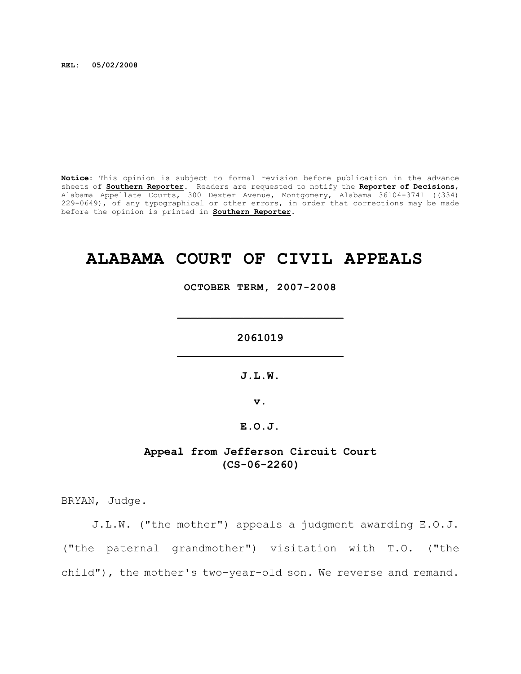**REL: 05/02/2008**

**Notice:** This opinion is subject to formal revision before publication in the advance sheets of **Southern Reporter**. Readers are requested to notify the **Reporter of Decisions**, Alabama Appellate Courts, 300 Dexter Avenue, Montgomery, Alabama 36104-3741 ((334) 229-0649), of any typographical or other errors, in order that corrections may be made before the opinion is printed in **Southern Reporter**.

# **ALABAMA COURT OF CIVIL APPEALS**

**OCTOBER TERM, 2007-2008**

**\_\_\_\_\_\_\_\_\_\_\_\_\_\_\_\_\_\_\_\_\_\_\_\_\_**

**2061019 \_\_\_\_\_\_\_\_\_\_\_\_\_\_\_\_\_\_\_\_\_\_\_\_\_**

**J.L.W.**

**v.**

# **E.O.J.**

# **Appeal from Jefferson Circuit Court (CS-06-2260)**

BRYAN, Judge.

J.L.W. ("the mother") appeals a judgment awarding E.O.J. ("the paternal grandmother") visitation with T.O. ("the child"), the mother's two-year-old son. We reverse and remand.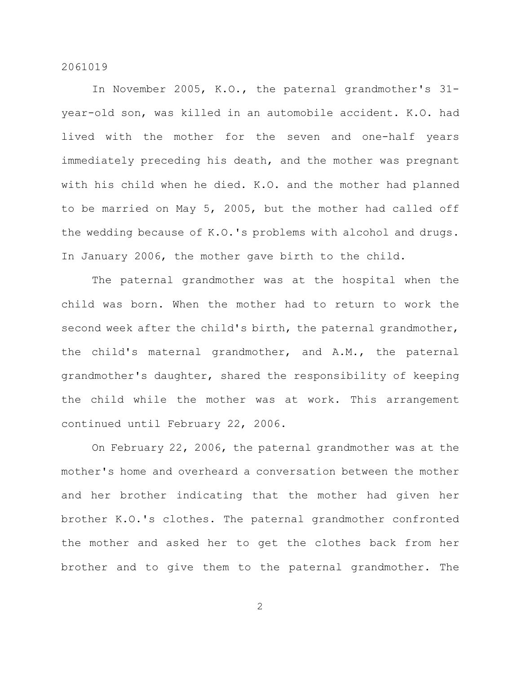In November 2005, K.O., the paternal grandmother's 31 year-old son, was killed in an automobile accident. K.O. had lived with the mother for the seven and one-half years immediately preceding his death, and the mother was pregnant with his child when he died. K.O. and the mother had planned to be married on May 5, 2005, but the mother had called off the wedding because of K.O.'s problems with alcohol and drugs. In January 2006, the mother gave birth to the child.

The paternal grandmother was at the hospital when the child was born. When the mother had to return to work the second week after the child's birth, the paternal grandmother, the child's maternal grandmother, and A.M., the paternal grandmother's daughter, shared the responsibility of keeping the child while the mother was at work. This arrangement continued until February 22, 2006.

On February 22, 2006, the paternal grandmother was at the mother's home and overheard a conversation between the mother and her brother indicating that the mother had given her brother K.O.'s clothes. The paternal grandmother confronted the mother and asked her to get the clothes back from her brother and to give them to the paternal grandmother. The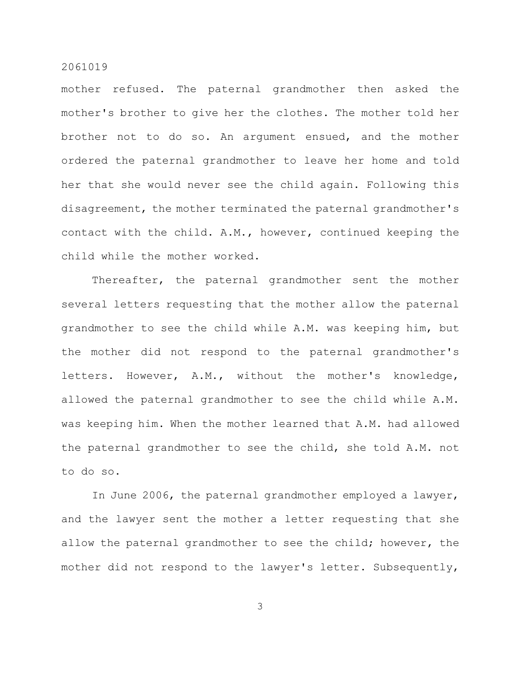mother refused. The paternal grandmother then asked the mother's brother to give her the clothes. The mother told her brother not to do so. An argument ensued, and the mother ordered the paternal grandmother to leave her home and told her that she would never see the child again. Following this disagreement, the mother terminated the paternal grandmother's contact with the child. A.M., however, continued keeping the child while the mother worked.

Thereafter, the paternal grandmother sent the mother several letters requesting that the mother allow the paternal grandmother to see the child while A.M. was keeping him, but the mother did not respond to the paternal grandmother's letters. However, A.M., without the mother's knowledge, allowed the paternal grandmother to see the child while A.M. was keeping him. When the mother learned that A.M. had allowed the paternal grandmother to see the child, she told A.M. not to do so.

In June 2006, the paternal grandmother employed a lawyer, and the lawyer sent the mother a letter requesting that she allow the paternal grandmother to see the child; however, the mother did not respond to the lawyer's letter. Subsequently,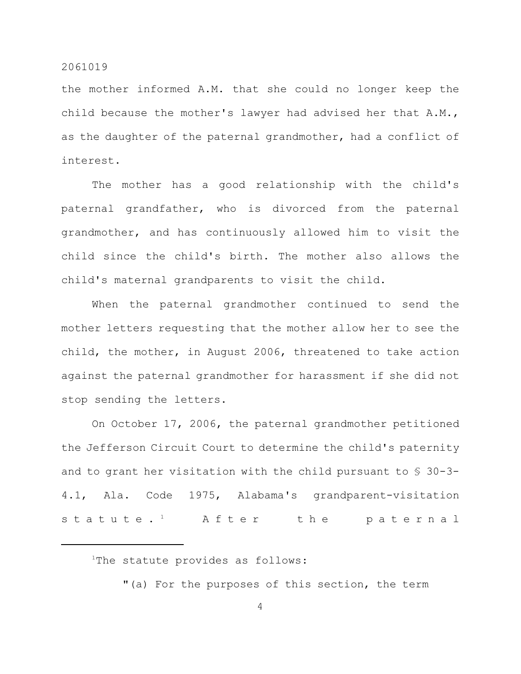the mother informed A.M. that she could no longer keep the child because the mother's lawyer had advised her that A.M., as the daughter of the paternal grandmother, had a conflict of interest.

The mother has a good relationship with the child's paternal grandfather, who is divorced from the paternal grandmother, and has continuously allowed him to visit the child since the child's birth. The mother also allows the child's maternal grandparents to visit the child.

When the paternal grandmother continued to send the mother letters requesting that the mother allow her to see the child, the mother, in August 2006, threatened to take action against the paternal grandmother for harassment if she did not stop sending the letters.

On October 17, 2006, the paternal grandmother petitioned the Jefferson Circuit Court to determine the child's paternity and to grant her visitation with the child pursuant to § 30-3- 4.1, Ala. Code 1975, Alabama's grandparent-visitation statute.<sup>1</sup> After the paternal

<sup>1</sup>The statute provides as follows:

"(a) For the purposes of this section, the term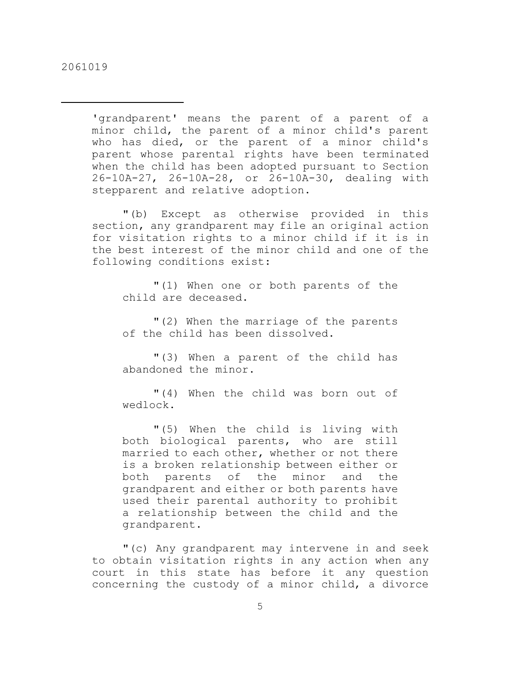'grandparent' means the parent of a parent of a minor child, the parent of a minor child's parent who has died, or the parent of a minor child's parent whose parental rights have been terminated when the child has been adopted pursuant to Section 26-10A-27, 26-10A-28, or 26-10A-30, dealing with stepparent and relative adoption.

"(b) Except as otherwise provided in this section, any grandparent may file an original action for visitation rights to a minor child if it is in the best interest of the minor child and one of the following conditions exist:

"(1) When one or both parents of the child are deceased.

"(2) When the marriage of the parents of the child has been dissolved.

"(3) When a parent of the child has abandoned the minor.

"(4) When the child was born out of wedlock.

"(5) When the child is living with both biological parents, who are still married to each other, whether or not there is a broken relationship between either or both parents of the minor and the grandparent and either or both parents have used their parental authority to prohibit a relationship between the child and the grandparent.

"(c) Any grandparent may intervene in and seek to obtain visitation rights in any action when any court in this state has before it any question concerning the custody of a minor child, a divorce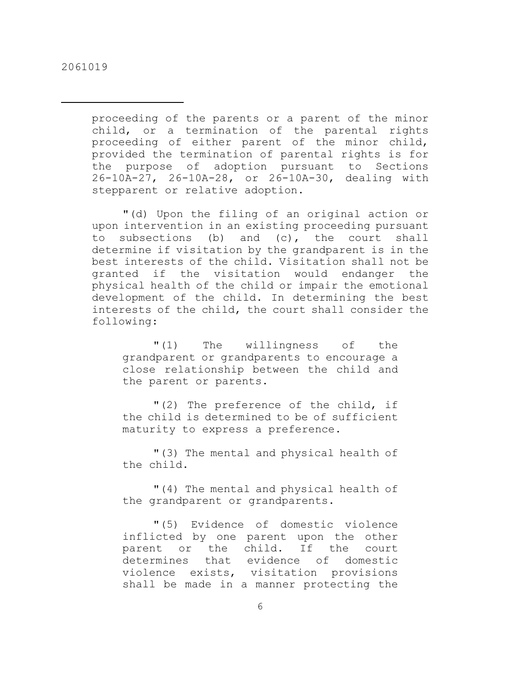proceeding of the parents or a parent of the minor child, or a termination of the parental rights proceeding of either parent of the minor child, provided the termination of parental rights is for the purpose of adoption pursuant to Sections 26-10A-27, 26-10A-28, or 26-10A-30, dealing with stepparent or relative adoption.

"(d) Upon the filing of an original action or upon intervention in an existing proceeding pursuant to subsections (b) and (c), the court shall determine if visitation by the grandparent is in the best interests of the child. Visitation shall not be granted if the visitation would endanger the physical health of the child or impair the emotional development of the child. In determining the best interests of the child, the court shall consider the following:

"(1) The willingness of the grandparent or grandparents to encourage a close relationship between the child and the parent or parents.

"(2) The preference of the child, if the child is determined to be of sufficient maturity to express a preference.

"(3) The mental and physical health of the child.

"(4) The mental and physical health of the grandparent or grandparents.

"(5) Evidence of domestic violence inflicted by one parent upon the other parent or the child. If the court determines that evidence of domestic violence exists, visitation provisions shall be made in a manner protecting the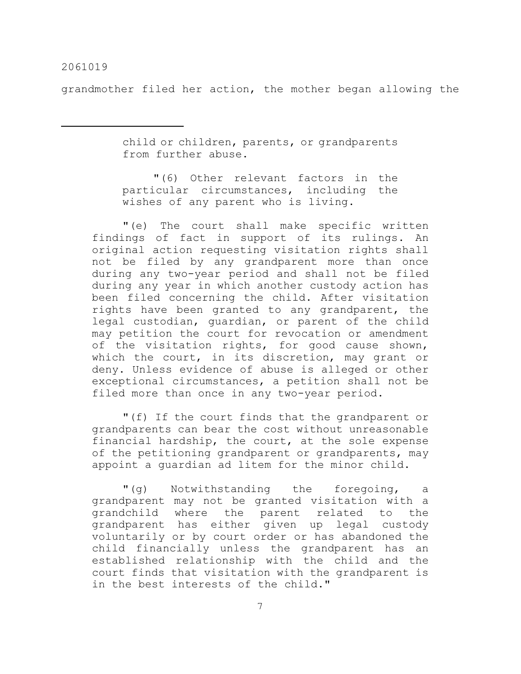grandmother filed her action, the mother began allowing the

child or children, parents, or grandparents from further abuse.

"(6) Other relevant factors in the particular circumstances, including the wishes of any parent who is living.

"(e) The court shall make specific written findings of fact in support of its rulings. An original action requesting visitation rights shall not be filed by any grandparent more than once during any two-year period and shall not be filed during any year in which another custody action has been filed concerning the child. After visitation rights have been granted to any grandparent, the legal custodian, guardian, or parent of the child may petition the court for revocation or amendment of the visitation rights, for good cause shown, which the court, in its discretion, may grant or deny. Unless evidence of abuse is alleged or other exceptional circumstances, a petition shall not be filed more than once in any two-year period.

"(f) If the court finds that the grandparent or grandparents can bear the cost without unreasonable financial hardship, the court, at the sole expense of the petitioning grandparent or grandparents, may appoint a guardian ad litem for the minor child.

"(g) Notwithstanding the foregoing, a grandparent may not be granted visitation with a grandchild where the parent related to the grandparent has either given up legal custody voluntarily or by court order or has abandoned the child financially unless the grandparent has an established relationship with the child and the court finds that visitation with the grandparent is in the best interests of the child."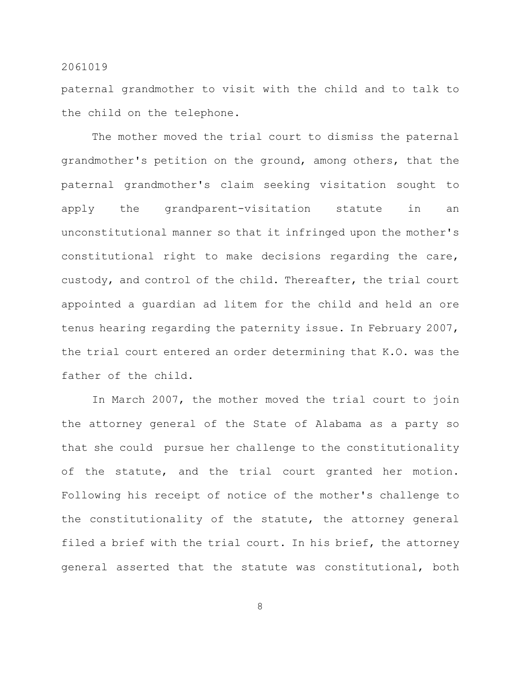paternal grandmother to visit with the child and to talk to the child on the telephone.

The mother moved the trial court to dismiss the paternal grandmother's petition on the ground, among others, that the paternal grandmother's claim seeking visitation sought to apply the grandparent-visitation statute in an unconstitutional manner so that it infringed upon the mother's constitutional right to make decisions regarding the care, custody, and control of the child. Thereafter, the trial court appointed a guardian ad litem for the child and held an ore tenus hearing regarding the paternity issue. In February 2007, the trial court entered an order determining that K.O. was the father of the child.

In March 2007, the mother moved the trial court to join the attorney general of the State of Alabama as a party so that she could pursue her challenge to the constitutionality of the statute, and the trial court granted her motion. Following his receipt of notice of the mother's challenge to the constitutionality of the statute, the attorney general filed a brief with the trial court. In his brief, the attorney general asserted that the statute was constitutional, both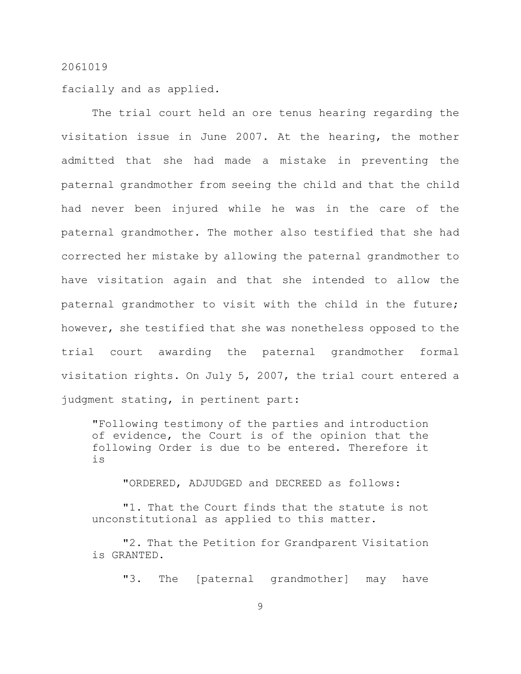facially and as applied.

The trial court held an ore tenus hearing regarding the visitation issue in June 2007. At the hearing, the mother admitted that she had made a mistake in preventing the paternal grandmother from seeing the child and that the child had never been injured while he was in the care of the paternal grandmother. The mother also testified that she had corrected her mistake by allowing the paternal grandmother to have visitation again and that she intended to allow the paternal grandmother to visit with the child in the future; however, she testified that she was nonetheless opposed to the trial court awarding the paternal grandmother formal visitation rights. On July 5, 2007, the trial court entered a judgment stating, in pertinent part:

"Following testimony of the parties and introduction of evidence, the Court is of the opinion that the following Order is due to be entered. Therefore it is

"ORDERED, ADJUDGED and DECREED as follows:

"1. That the Court finds that the statute is not unconstitutional as applied to this matter.

"2. That the Petition for Grandparent Visitation is GRANTED.

"3. The [paternal grandmother] may have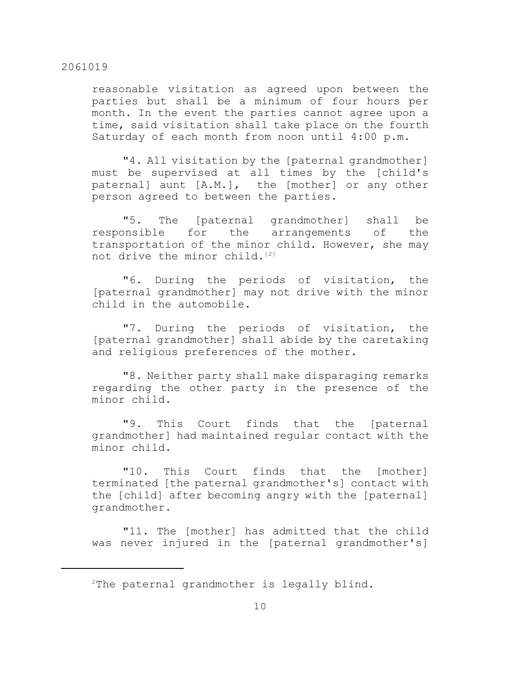reasonable visitation as agreed upon between the parties but shall be a minimum of four hours per month. In the event the parties cannot agree upon a time, said visitation shall take place on the fourth Saturday of each month from noon until 4:00 p.m.

"4. All visitation by the [paternal grandmother] must be supervised at all times by the [child's paternal] aunt [A.M.], the [mother] or any other person agreed to between the parties.

"5. The [paternal grandmother] shall be responsible for the arrangements of the transportation of the minor child. However, she may not drive the minor child.<sup>[2]</sup>

"6. During the periods of visitation, the [paternal grandmother] may not drive with the minor child in the automobile.

"7. During the periods of visitation, the [paternal grandmother] shall abide by the caretaking and religious preferences of the mother.

"8. Neither party shall make disparaging remarks regarding the other party in the presence of the minor child.

"9. This Court finds that the [paternal grandmother] had maintained regular contact with the minor child.

"10. This Court finds that the [mother] terminated [the paternal grandmother's] contact with the [child] after becoming angry with the [paternal] grandmother.

"11. The [mother] has admitted that the child was never injured in the [paternal grandmother's]

 $2$ The paternal grandmother is legally blind.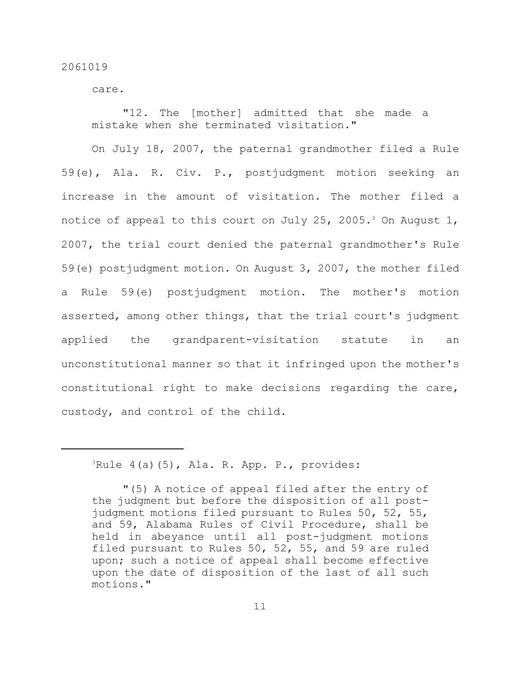care.

"12. The [mother] admitted that she made a mistake when she terminated visitation."

On July 18, 2007, the paternal grandmother filed a Rule 59(e), Ala. R. Civ. P., postjudgment motion seeking an increase in the amount of visitation. The mother filed a notice of appeal to this court on July 25, 2005.<sup>3</sup> On August 1, 2007, the trial court denied the paternal grandmother's Rule 59(e) postjudgment motion. On August 3, 2007, the mother filed a Rule 59(e) postjudgment motion. The mother's motion asserted, among other things, that the trial court's judgment applied the grandparent-visitation statute in an unconstitutional manner so that it infringed upon the mother's constitutional right to make decisions regarding the care, custody, and control of the child.

 ${}^{3}$ Rule 4(a)(5), Ala. R. App. P., provides:

<sup>&</sup>quot;(5) A notice of appeal filed after the entry of the judgment but before the disposition of all postjudgment motions filed pursuant to Rules 50, 52, 55, and 59, Alabama Rules of Civil Procedure, shall be held in abeyance until all post-judgment motions filed pursuant to Rules 50, 52, 55, and 59 are ruled upon; such a notice of appeal shall become effective upon the date of disposition of the last of all such motions."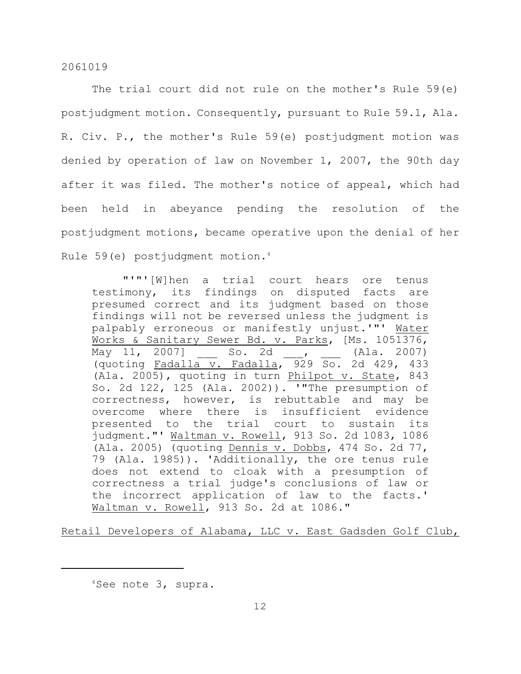The trial court did not rule on the mother's Rule 59(e) postjudgment motion. Consequently, pursuant to Rule 59.1, Ala. R. Civ. P., the mother's Rule 59(e) postjudgment motion was denied by operation of law on November 1, 2007, the 90th day after it was filed. The mother's notice of appeal, which had been held in abeyance pending the resolution of the postjudgment motions, became operative upon the denial of her Rule 59(e) postjudgment motion. 4

"'"'[W]hen a trial court hears ore tenus testimony, its findings on disputed facts are presumed correct and its judgment based on those findings will not be reversed unless the judgment is palpably erroneous or manifestly unjust.'"' Water Works & Sanitary Sewer Bd. v. Parks, [Ms. 1051376,  $\overline{\text{May 11, 2007}}}$  So. 2d , (Ala. 2007) (quoting Fadalla v. Fadalla,  $\frac{929}{50}$ . 2d 429, 433 (Ala. 2005), quoting in turn Philpot v. State, 843 So. 2d 122, 125 (Ala. 2002)). '"The presumption of correctness, however, is rebuttable and may be overcome where there is insufficient evidence presented to the trial court to sustain its judgment."' Waltman v. Rowell, 913 So. 2d 1083, 1086 (Ala. 2005) (quoting Dennis v. Dobbs, 474 So. 2d 77, 79 (Ala. 1985)). 'Additionally, the ore tenus rule does not extend to cloak with a presumption of correctness a trial judge's conclusions of law or the incorrect application of law to the facts.' Waltman v. Rowell, 913 So. 2d at 1086."

Retail Developers of Alabama, LLC v. East Gadsden Golf Club,

 $4$ See note 3, supra.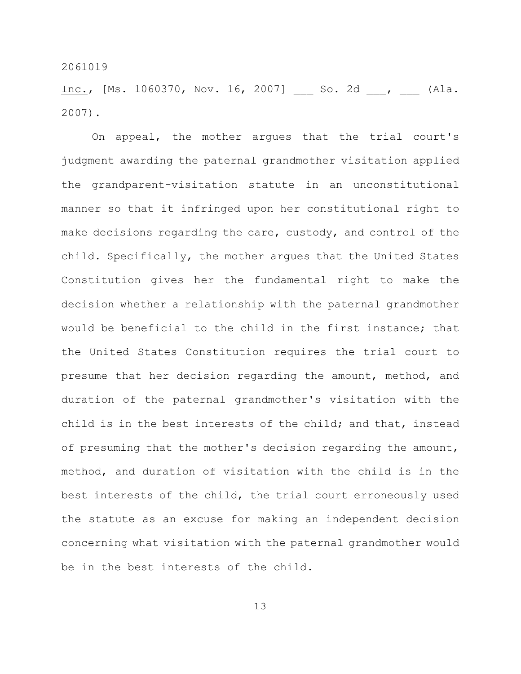Inc., [Ms. 1060370, Nov. 16, 2007] So. 2d , (Ala. 2007).

On appeal, the mother argues that the trial court's judgment awarding the paternal grandmother visitation applied the grandparent-visitation statute in an unconstitutional manner so that it infringed upon her constitutional right to make decisions regarding the care, custody, and control of the child. Specifically, the mother argues that the United States Constitution gives her the fundamental right to make the decision whether a relationship with the paternal grandmother would be beneficial to the child in the first instance; that the United States Constitution requires the trial court to presume that her decision regarding the amount, method, and duration of the paternal grandmother's visitation with the child is in the best interests of the child; and that, instead of presuming that the mother's decision regarding the amount, method, and duration of visitation with the child is in the best interests of the child, the trial court erroneously used the statute as an excuse for making an independent decision concerning what visitation with the paternal grandmother would be in the best interests of the child.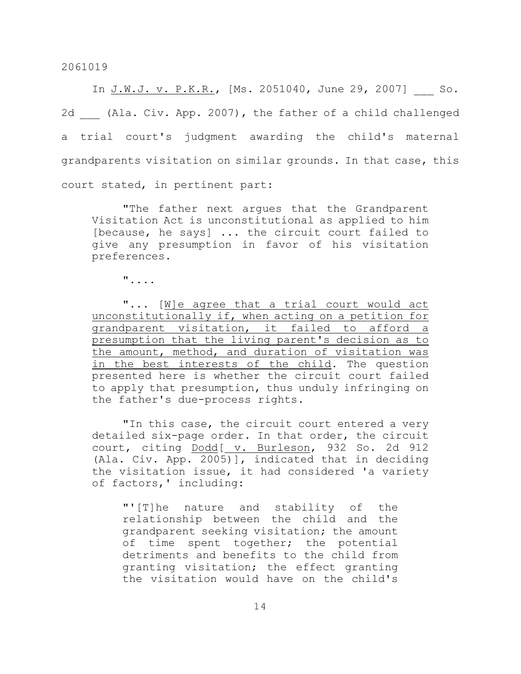In J.W.J. v. P.K.R., [Ms. 2051040, June 29, 2007] So. 2d (Ala. Civ. App. 2007), the father of a child challenged a trial court's judgment awarding the child's maternal grandparents visitation on similar grounds. In that case, this court stated, in pertinent part:

"The father next argues that the Grandparent Visitation Act is unconstitutional as applied to him [because, he says] ... the circuit court failed to give any presumption in favor of his visitation preferences.

"....

"... [W]e agree that a trial court would act unconstitutionally if, when acting on a petition for grandparent visitation, it failed to afford a presumption that the living parent's decision as to the amount, method, and duration of visitation was in the best interests of the child. The question presented here is whether the circuit court failed to apply that presumption, thus unduly infringing on the father's due-process rights.

"In this case, the circuit court entered a very detailed six-page order. In that order, the circuit court, citing Dodd[ v. Burleson, 932 So. 2d 912 (Ala. Civ. App. 2005)], indicated that in deciding the visitation issue, it had considered 'a variety of factors,' including:

"'[T]he nature and stability of the relationship between the child and the grandparent seeking visitation; the amount of time spent together; the potential detriments and benefits to the child from granting visitation; the effect granting the visitation would have on the child's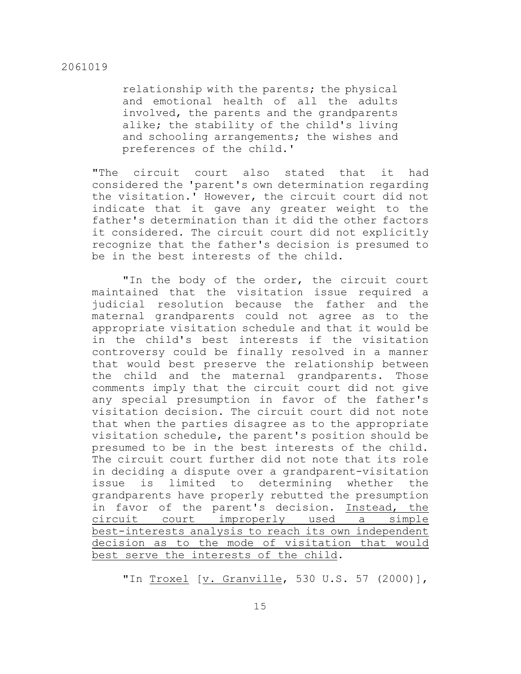relationship with the parents; the physical and emotional health of all the adults involved, the parents and the grandparents alike; the stability of the child's living and schooling arrangements; the wishes and preferences of the child.'

"The circuit court also stated that it had considered the 'parent's own determination regarding the visitation.' However, the circuit court did not indicate that it gave any greater weight to the father's determination than it did the other factors it considered. The circuit court did not explicitly recognize that the father's decision is presumed to be in the best interests of the child.

"In the body of the order, the circuit court maintained that the visitation issue required a judicial resolution because the father and the maternal grandparents could not agree as to the appropriate visitation schedule and that it would be in the child's best interests if the visitation controversy could be finally resolved in a manner that would best preserve the relationship between the child and the maternal grandparents. Those comments imply that the circuit court did not give any special presumption in favor of the father's visitation decision. The circuit court did not note that when the parties disagree as to the appropriate visitation schedule, the parent's position should be presumed to be in the best interests of the child. The circuit court further did not note that its role in deciding a dispute over a grandparent-visitation issue is limited to determining whether the grandparents have properly rebutted the presumption in favor of the parent's decision. Instead, the circuit court improperly used a simple best-interests analysis to reach its own independent decision as to the mode of visitation that would best serve the interests of the child.

"In Troxel [v. Granville, 530 U.S. 57 (2000)],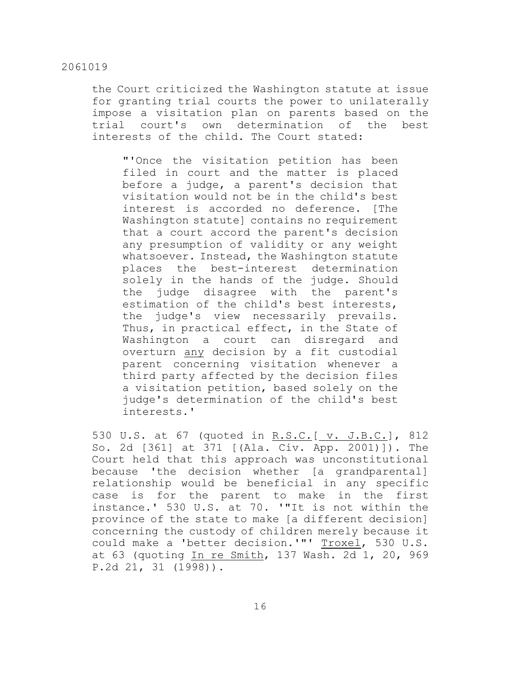the Court criticized the Washington statute at issue for granting trial courts the power to unilaterally impose a visitation plan on parents based on the trial court's own determination of the best interests of the child. The Court stated:

"'Once the visitation petition has been filed in court and the matter is placed before a judge, a parent's decision that visitation would not be in the child's best interest is accorded no deference. [The Washington statute] contains no requirement that a court accord the parent's decision any presumption of validity or any weight whatsoever. Instead, the Washington statute places the best-interest determination solely in the hands of the judge. Should the judge disagree with the parent's estimation of the child's best interests, the judge's view necessarily prevails. Thus, in practical effect, in the State of Washington a court can disregard and overturn any decision by a fit custodial parent concerning visitation whenever a third party affected by the decision files a visitation petition, based solely on the judge's determination of the child's best interests.'

530 U.S. at 67 (quoted in R.S.C. [ v. J.B.C.], 812 So. 2d [361] at 371 [(Ala. Civ. App. 2001)]). The Court held that this approach was unconstitutional because 'the decision whether [a grandparental] relationship would be beneficial in any specific case is for the parent to make in the first instance.' 530 U.S. at 70. '"It is not within the province of the state to make [a different decision] concerning the custody of children merely because it could make a 'better decision.'"' Troxel, 530 U.S. at 63 (quoting In re Smith, 137 Wash. 2d 1, 20, 969 P.2d 21, 31 (1998)).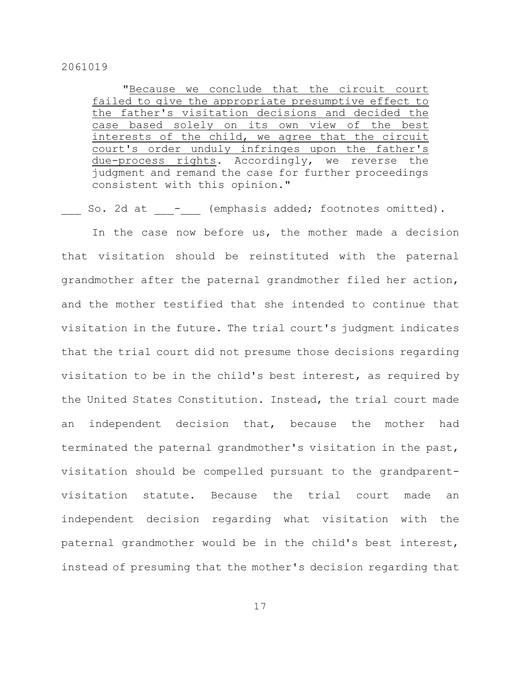"Because we conclude that the circuit court failed to give the appropriate presumptive effect to the father's visitation decisions and decided the case based solely on its own view of the best interests of the child, we agree that the circuit court's order unduly infringes upon the father's due-process rights. Accordingly, we reverse the judgment and remand the case for further proceedings consistent with this opinion."

So. 2d at  $\qquad$  - (emphasis added; footnotes omitted).

In the case now before us, the mother made a decision that visitation should be reinstituted with the paternal grandmother after the paternal grandmother filed her action, and the mother testified that she intended to continue that visitation in the future. The trial court's judgment indicates that the trial court did not presume those decisions regarding visitation to be in the child's best interest, as required by the United States Constitution. Instead, the trial court made an independent decision that, because the mother had terminated the paternal grandmother's visitation in the past, visitation should be compelled pursuant to the grandparentvisitation statute. Because the trial court made an independent decision regarding what visitation with the paternal grandmother would be in the child's best interest, instead of presuming that the mother's decision regarding that